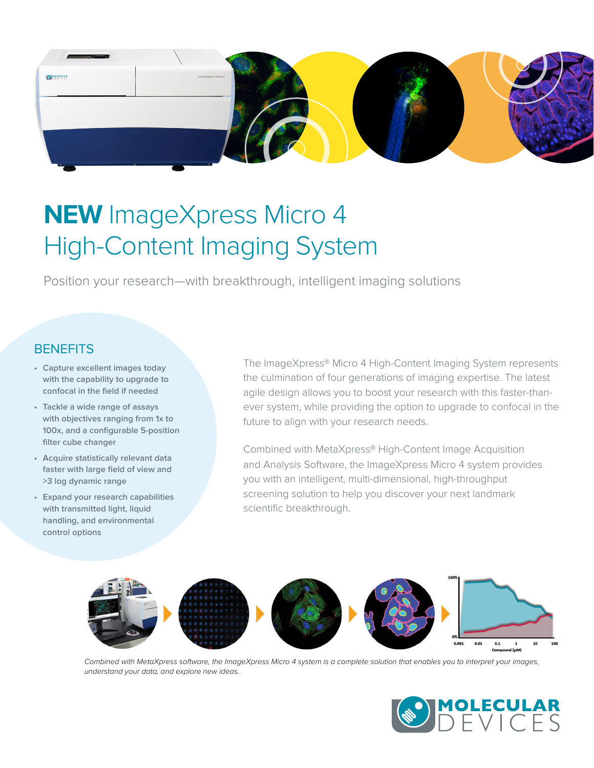

# **NEW** ImageXpress Micro 4 High-Content Imaging System

Position your research—with breakthrough, intelligent imaging solutions

# **BENEFITS**

- **• Capture excellent images today with the capability to upgrade to confocal in the field if needed**
- **• Tackle a wide range of assays with objectives ranging from 1x to 100x, and a configurable 5-position filter cube changer**
- **• Acquire statistically relevant data faster with large field of view and >3 log dynamic range**
- **• Expand your research capabilities with transmitted light, liquid handling, and environmental control options**

The ImageXpress® Micro 4 High-Content Imaging System represents the culmination of four generations of imaging expertise. The latest agile design allows you to boost your research with this faster-thanever system, while providing the option to upgrade to confocal in the future to align with your research needs.

Combined with MetaXpress® High-Content Image Acquisition and Analysis Software, the ImageXpress Micro 4 system provides you with an intelligent, multi-dimensional, high-throughput screening solution to help you discover your next landmark scientific breakthrough.



*Combined with MetaXpress software, the ImageXpress Micro 4 system is a complete solution that enables you to interpret your images, understand your data, and explore new ideas.*